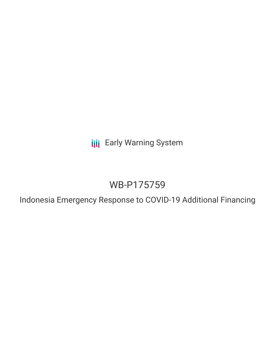**III** Early Warning System

# WB-P175759

Indonesia Emergency Response to COVID-19 Additional Financing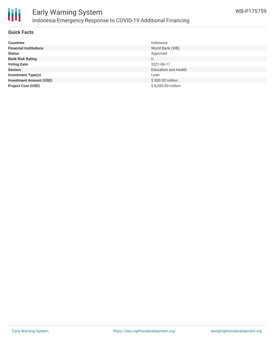

#### **Quick Facts**

| <b>Countries</b>               | Indonesia                   |
|--------------------------------|-----------------------------|
| <b>Financial Institutions</b>  | World Bank (WB)             |
| <b>Status</b>                  | Approved                    |
| <b>Bank Risk Rating</b>        | U                           |
| <b>Voting Date</b>             | 2021-06-17                  |
| <b>Sectors</b>                 | <b>Education and Health</b> |
| <b>Investment Type(s)</b>      | Loan                        |
| <b>Investment Amount (USD)</b> | \$500.00 million            |
| <b>Project Cost (USD)</b>      | \$8,200.00 million          |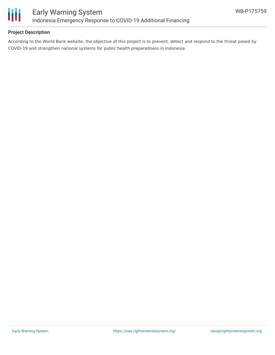

## **Project Description**

According to the World Bank website, the objective of this project is to prevent, detect and respond to the threat posed by COVID-19 and strengthen national systems for public health preparedness in Indonesia.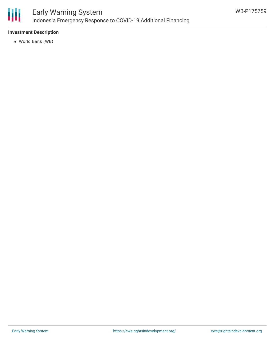

# Early Warning System Indonesia Emergency Response to COVID-19 Additional Financing

## **Investment Description**

World Bank (WB)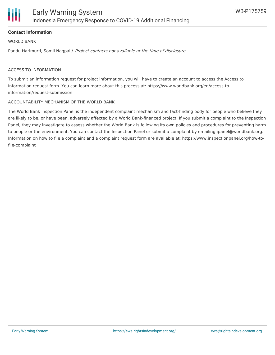

#### **Contact Information**

WORLD BANK

Pandu Harimurti, Somil Nagpal / Project contacts not available at the time of disclosure.

#### ACCESS TO INFORMATION

To submit an information request for project information, you will have to create an account to access the Access to Information request form. You can learn more about this process at: https://www.worldbank.org/en/access-toinformation/request-submission

#### ACCOUNTABILITY MECHANISM OF THE WORLD BANK

The World Bank Inspection Panel is the independent complaint mechanism and fact-finding body for people who believe they are likely to be, or have been, adversely affected by a World Bank-financed project. If you submit a complaint to the Inspection Panel, they may investigate to assess whether the World Bank is following its own policies and procedures for preventing harm to people or the environment. You can contact the Inspection Panel or submit a complaint by emailing ipanel@worldbank.org. Information on how to file a complaint and a complaint request form are available at: https://www.inspectionpanel.org/how-tofile-complaint